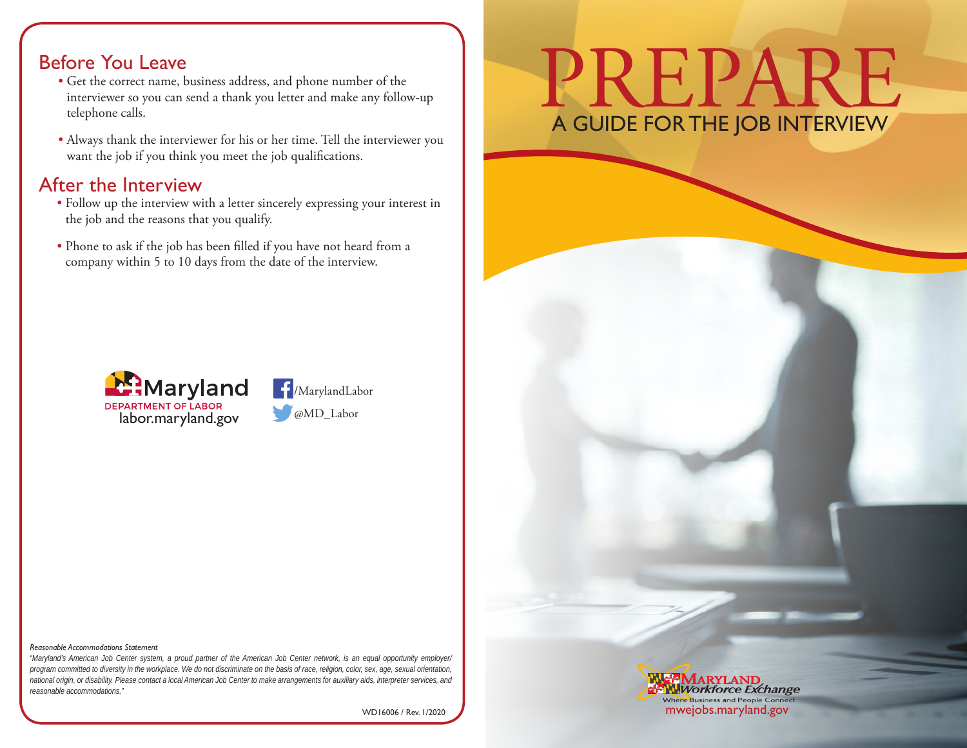#### Before You Leave

- Get the correct name, business address, and phone number of the interviewer so you can send a thank you letter and make any follow-up telephone calls.
- Always thank the interviewer for his or her time. Tell the interviewer you want the job if you think you meet the job qualifications.

#### After the Interview

- Follow up the interview with a letter sincerely expressing your interest in the job and the reasons that you qualify.
- Phone to ask if the job has been filled if you have not heard from a company within 5 to 10 days from the date of the interview.





# PREPARE A GUIDE FOR THE JOB INTERVIEW

#### *Reasonable Accommodations Statement*

*"Maryland's American Job Center system, a proud partner of the American Job Center network, is an equal opportunity employer/ program committed to diversity in the workplace. We do not discriminate on the basis of race, religion, color, sex, age, sexual orientation, national origin, or disability. Please contact a local American Job Center to make arrangements for auxiliary aids, interpreter services, and reasonable accommodations."*

WD16006 / Rev. 1/2020

#### **Workforce Exchange** Where Business and People Connec mwejobs.maryland.gov